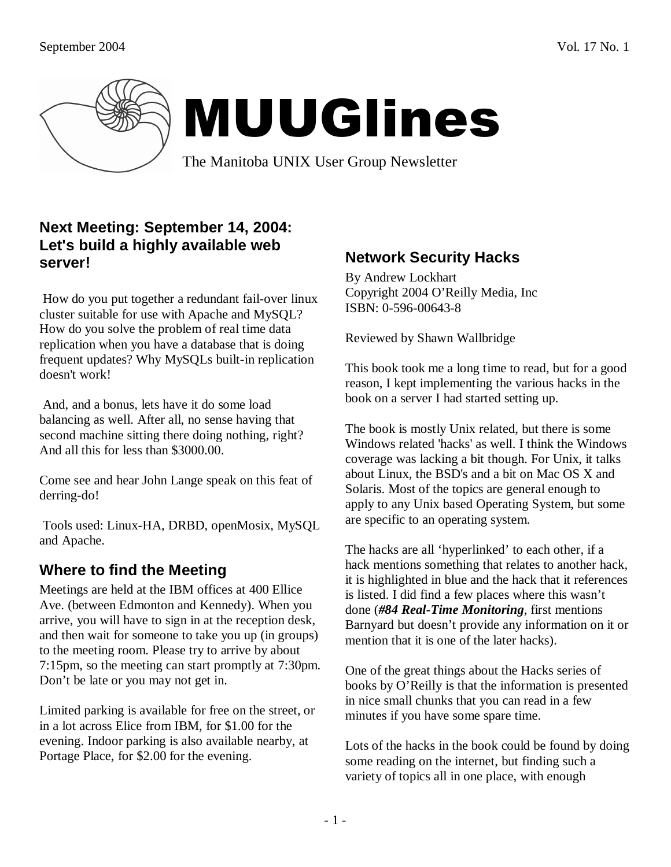

# MUUGlines

The Manitoba UNIX User Group Newsletter

## **Next Meeting: September 14, 2004: Let's build a highly available web server!**

 How do you put together a redundant fail-over linux cluster suitable for use with Apache and MySQL? How do you solve the problem of real time data replication when you have a database that is doing frequent updates? Why MySQLs built-in replication doesn't work!

 And, and a bonus, lets have it do some load balancing as well. After all, no sense having that second machine sitting there doing nothing, right? And all this for less than \$3000.00.

Come see and hear John Lange speak on this feat of derring-do!

 Tools used: Linux-HA, DRBD, openMosix, MySQL and Apache.

# **Where to find the Meeting**

Meetings are held at the IBM offices at 400 Ellice Ave. (between Edmonton and Kennedy). When you arrive, you will have to sign in at the reception desk, and then wait for someone to take you up (in groups) to the meeting room. Please try to arrive by about 7:15pm, so the meeting can start promptly at 7:30pm. Don't be late or you may not get in.

Limited parking is available for free on the street, or in a lot across Elice from IBM, for \$1.00 for the evening. Indoor parking is also available nearby, at Portage Place, for \$2.00 for the evening.

# **Network Security Hacks**

By Andrew Lockhart Copyright 2004 O'Reilly Media, Inc ISBN: 0-596-00643-8

Reviewed by Shawn Wallbridge

This book took me a long time to read, but for a good reason, I kept implementing the various hacks in the book on a server I had started setting up.

The book is mostly Unix related, but there is some Windows related 'hacks' as well. I think the Windows coverage was lacking a bit though. For Unix, it talks about Linux, the BSD's and a bit on Mac OS X and Solaris. Most of the topics are general enough to apply to any Unix based Operating System, but some are specific to an operating system.

The hacks are all 'hyperlinked' to each other, if a hack mentions something that relates to another hack, it is highlighted in blue and the hack that it references is listed. I did find a few places where this wasn't done (*#84 Real-Time Monitoring*, first mentions Barnyard but doesn't provide any information on it or mention that it is one of the later hacks).

One of the great things about the Hacks series of books by O'Reilly is that the information is presented in nice small chunks that you can read in a few minutes if you have some spare time.

Lots of the hacks in the book could be found by doing some reading on the internet, but finding such a variety of topics all in one place, with enough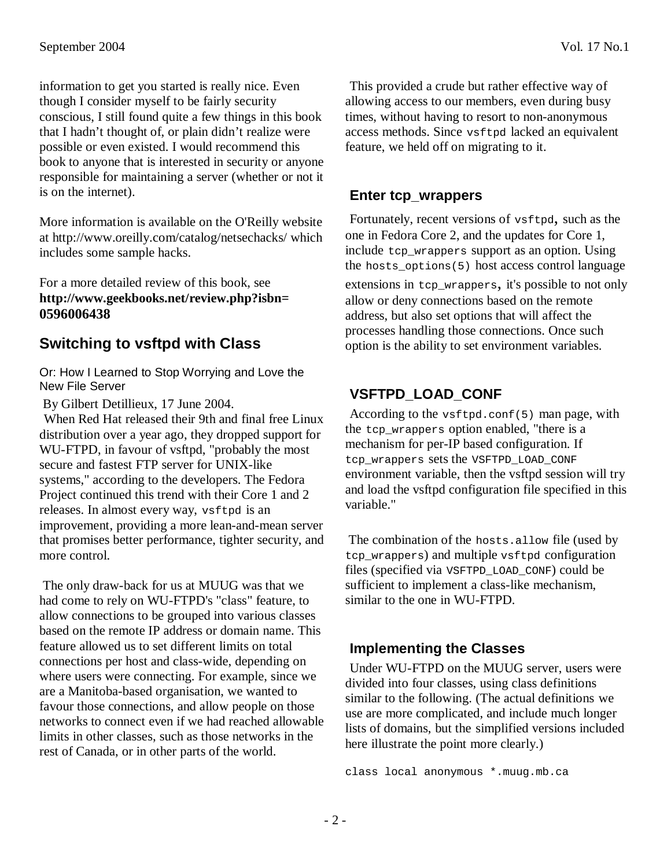information to get you started is really nice. Even though I consider myself to be fairly security conscious, I still found quite a few things in this book that I hadn't thought of, or plain didn't realize were possible or even existed. I would recommend this book to anyone that is interested in security or anyone responsible for maintaining a server (whether or not it is on the internet).

More information is available on the O'Reilly website at http://www.oreilly.com/catalog/netsechacks/ which includes some sample hacks.

For a more detailed review of this book, see **http://www.geekbooks.net/review.php?isbn= 0596006438**

#### **Switching to vsftpd with Class**

Or: How I Learned to Stop Worrying and Love the New File Server

By Gilbert Detillieux, 17 June 2004.

When Red Hat released their 9th and final free Linux distribution over a year ago, they dropped support for WU-FTPD, in favour of vsftpd, "probably the most secure and fastest FTP server for UNIX-like systems," according to the developers. The Fedora Project continued this trend with their Core 1 and 2 releases. In almost every way, vsftpd is an improvement, providing a more lean-and-mean server that promises better performance, tighter security, and more control.

 The only draw-back for us at MUUG was that we had come to rely on WU-FTPD's "class" feature, to allow connections to be grouped into various classes based on the remote IP address or domain name. This feature allowed us to set different limits on total connections per host and class-wide, depending on where users were connecting. For example, since we are a Manitoba-based organisation, we wanted to favour those connections, and allow people on those networks to connect even if we had reached allowable limits in other classes, such as those networks in the rest of Canada, or in other parts of the world.

This provided a crude but rather effective way of allowing access to our members, even during busy times, without having to resort to non-anonymous access methods. Since vsftpd lacked an equivalent feature, we held off on migrating to it.

#### **Enter tcp\_wrappers**

Fortunately, recent versions of vsftpd, such as the one in Fedora Core 2, and the updates for Core 1, include tcp wrappers support as an option. Using the hosts options(5) host access control language

extensions in tcp\_wrappers, it's possible to not only allow or deny connections based on the remote address, but also set options that will affect the processes handling those connections. Once such option is the ability to set environment variables.

## **VSFTPD\_LOAD\_CONF**

According to the vsftpd.conf(5) man page, with the tcp wrappers option enabled, "there is a mechanism for per-IP based configuration. If tcp\_wrappers sets the VSFTPD\_LOAD\_CONF environment variable, then the vsftpd session will try and load the vsftpd configuration file specified in this variable."

 The combination of the hosts.allow file (used by tcp\_wrappers) and multiple vsftpd configuration files (specified via VSFTPD\_LOAD\_CONF) could be sufficient to implement a class-like mechanism, similar to the one in WU-FTPD.

#### **Implementing the Classes**

Under WU-FTPD on the MUUG server, users were divided into four classes, using class definitions similar to the following. (The actual definitions we use are more complicated, and include much longer lists of domains, but the simplified versions included here illustrate the point more clearly.)

class local anonymous \*.muug.mb.ca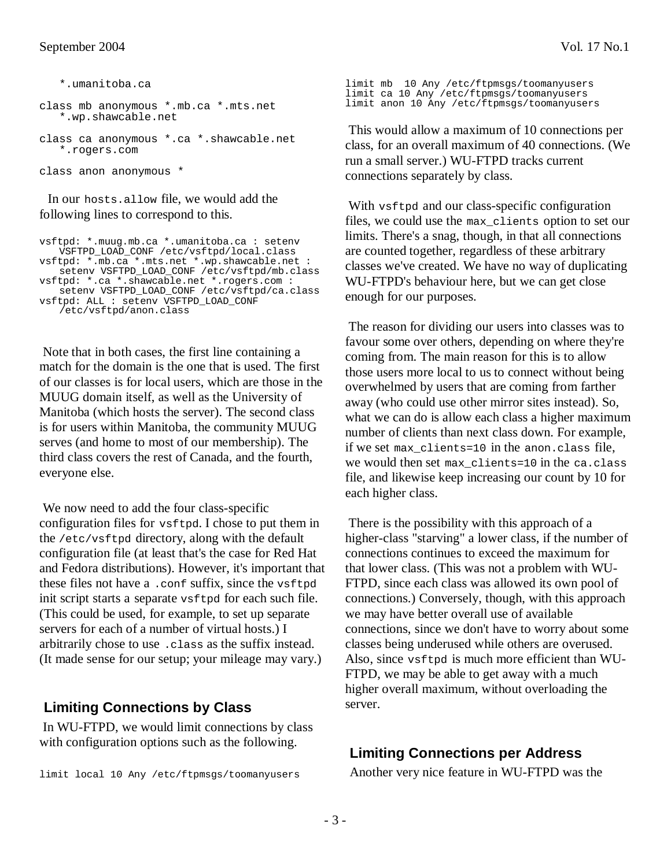\*.umanitoba.ca

```
class mb anonymous *.mb.ca *.mts.net 
   *.wp.shawcable.net
```
class ca anonymous \*.ca \*.shawcable.net \*.rogers.com

class anon anonymous \*

In our hosts.allow file, we would add the following lines to correspond to this.

```
vsftpd: *.muug.mb.ca *.umanitoba.ca : setenv 
   VSFTPD_LOAD_CONF /etc/vsftpd/local.class 
vsftpd: *.mb.ca *.mts.net *.wp.shawcable.net : 
   setenv VSFTPD_LOAD_CONF /etc/vsftpd/mb.class 
vsftpd: *.ca *.shawcable.net *.rogers.com : 
   setenv VSFTPD_LOAD_CONF /etc/vsftpd/ca.class 
vsftpd: ALL : setenv VSFTPD_LOAD_CONF 
   /etc/vsftpd/anon.class
```
 Note that in both cases, the first line containing a match for the domain is the one that is used. The first of our classes is for local users, which are those in the MUUG domain itself, as well as the University of Manitoba (which hosts the server). The second class is for users within Manitoba, the community MUUG serves (and home to most of our membership). The third class covers the rest of Canada, and the fourth, everyone else.

 We now need to add the four class-specific configuration files for vsftpd. I chose to put them in the /etc/vsftpd directory, along with the default configuration file (at least that's the case for Red Hat and Fedora distributions). However, it's important that these files not have a .conf suffix, since the vsftpd init script starts a separate vsftpd for each such file. (This could be used, for example, to set up separate servers for each of a number of virtual hosts.) I arbitrarily chose to use .class as the suffix instead. (It made sense for our setup; your mileage may vary.)

#### **Limiting Connections by Class**

 In WU-FTPD, we would limit connections by class with configuration options such as the following.

limit mb 10 Any /etc/ftpmsgs/toomanyusers limit ca 10 Any /etc/ftpmsgs/toomanyusers limit anon 10 Any /etc/ftpmsgs/toomanyusers

 This would allow a maximum of 10 connections per class, for an overall maximum of 40 connections. (We run a small server.) WU-FTPD tracks current connections separately by class.

With vsftpd and our class-specific configuration files, we could use the max\_clients option to set our limits. There's a snag, though, in that all connections are counted together, regardless of these arbitrary classes we've created. We have no way of duplicating WU-FTPD's behaviour here, but we can get close enough for our purposes.

 The reason for dividing our users into classes was to favour some over others, depending on where they're coming from. The main reason for this is to allow those users more local to us to connect without being overwhelmed by users that are coming from farther away (who could use other mirror sites instead). So, what we can do is allow each class a higher maximum number of clients than next class down. For example, if we set max\_clients=10 in the anon.class file, we would then set max\_clients=10 in the ca.class file, and likewise keep increasing our count by 10 for each higher class.

 There is the possibility with this approach of a higher-class "starving" a lower class, if the number of connections continues to exceed the maximum for that lower class. (This was not a problem with WU-FTPD, since each class was allowed its own pool of connections.) Conversely, though, with this approach we may have better overall use of available connections, since we don't have to worry about some classes being underused while others are overused. Also, since vsftpd is much more efficient than WU-FTPD, we may be able to get away with a much higher overall maximum, without overloading the server.

## **Limiting Connections per Address**

Another very nice feature in WU-FTPD was the